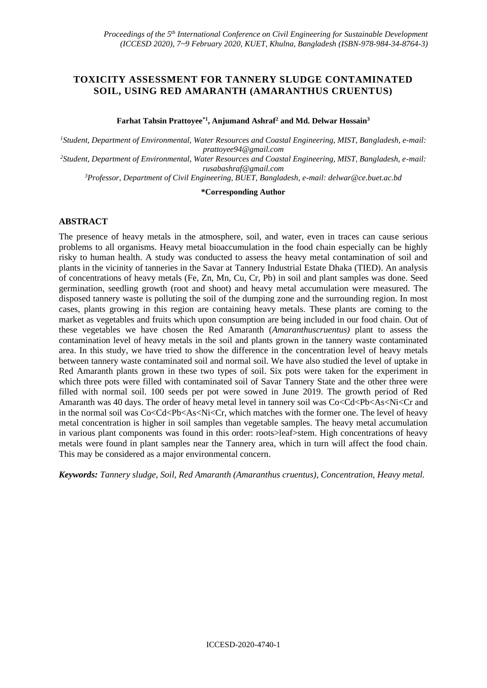# **TOXICITY ASSESSMENT FOR TANNERY SLUDGE CONTAMINATED SOIL, USING RED AMARANTH (AMARANTHUS CRUENTUS)**

**Farhat Tahsin Prattoyee\*1, Anjumand Ashraf<sup>2</sup> and Md. Delwar Hossain<sup>3</sup>**

*<sup>1</sup>Student, Department of Environmental, Water Resources and Coastal Engineering, MIST, Bangladesh, e-mail: [prattoyee94@gmail.com](mailto:prattoyee94@gmail.com) <sup>2</sup>Student, Department of Environmental, Water Resources and Coastal Engineering, MIST, Bangladesh, e-mail: [rusabashraf@gmail.com](mailto:rusabashraf@gmail.com)*

*<sup>3</sup>Professor, Department of Civil Engineering, BUET, Bangladesh, e-mail[: delwar@ce.buet.ac.bd](mailto:delwar@ce.buet.ac.bd)*

**\*Corresponding Author**

### **ABSTRACT**

The presence of heavy metals in the atmosphere, soil, and water, even in traces can cause serious problems to all organisms. Heavy metal bioaccumulation in the food chain especially can be highly risky to human health. A study was conducted to assess the heavy metal contamination of soil and plants in the vicinity of tanneries in the Savar at Tannery Industrial Estate Dhaka (TIED). An analysis of concentrations of heavy metals (Fe, Zn, Mn, Cu, Cr, Pb) in soil and plant samples was done. Seed germination, seedling growth (root and shoot) and heavy metal accumulation were measured. The disposed tannery waste is polluting the soil of the dumping zone and the surrounding region. In most cases, plants growing in this region are containing heavy metals. These plants are coming to the market as vegetables and fruits which upon consumption are being included in our food chain. Out of these vegetables we have chosen the Red Amaranth (*Amaranthuscruentus)* plant to assess the contamination level of heavy metals in the soil and plants grown in the tannery waste contaminated area. In this study, we have tried to show the difference in the concentration level of heavy metals between tannery waste contaminated soil and normal soil. We have also studied the level of uptake in Red Amaranth plants grown in these two types of soil. Six pots were taken for the experiment in which three pots were filled with contaminated soil of Savar Tannery State and the other three were filled with normal soil. 100 seeds per pot were sowed in June 2019. The growth period of Red Amaranth was 40 days. The order of heavy metal level in tannery soil was  $Co < Cd < Pb < As < Ni < Cr$  and in the normal soil was  $Co < Cd < Pb < As < Ni < Cr$ , which matches with the former one. The level of heavy metal concentration is higher in soil samples than vegetable samples. The heavy metal accumulation in various plant components was found in this order: roots>leaf>stem. High concentrations of heavy metals were found in plant samples near the Tannery area, which in turn will affect the food chain. This may be considered as a major environmental concern.

*Keywords: Tannery sludge, Soil, Red Amaranth (Amaranthus cruentus), Concentration, Heavy metal.*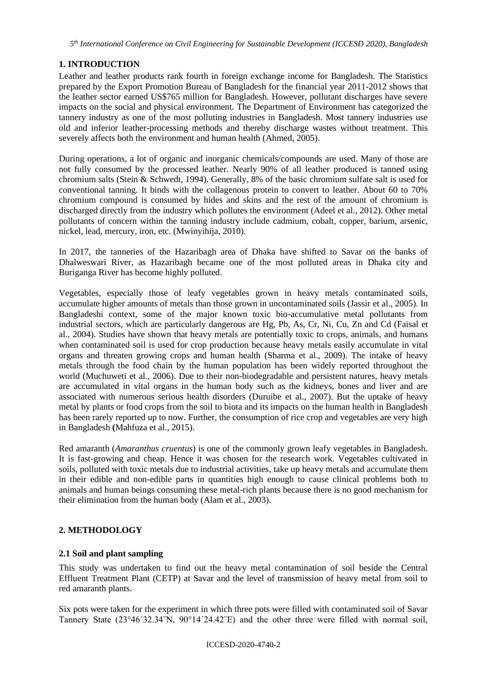## **1. INTRODUCTION**

Leather and leather products rank fourth in foreign exchange income for Bangladesh. The Statistics prepared by the Export Promotion Bureau of Bangladesh for the financial year 2011-2012 shows that the leather sector earned US\$765 million for Bangladesh. However, pollutant discharges have severe impacts on the social and physical environment. The Department of Environment has categorized the tannery industry as one of the most polluting industries in Bangladesh. Most tannery industries use old and inferior leather-processing methods and thereby discharge wastes without treatment. This severely affects both the environment and human health (Ahmed, 2005).

During operations, a lot of organic and inorganic chemicals/compounds are used. Many of those are not fully consumed by the processed leather. Nearly 90% of all leather produced is tanned using chromium salts (Stein & Schwedt, 1994). Generally, 8% of the basic chromium sulfate salt is used for conventional tanning. It binds with the collagenous protein to convert to leather. About 60 to 70% chromium compound is consumed by hides and skins and the rest of the amount of chromium is discharged directly from the industry which pollutes the environment (Adeel et al., 2012). Other metal pollutants of concern within the tanning industry include cadmium, cobalt, copper, barium, arsenic, nickel, lead, mercury, iron, etc. (Mwinyihija, 2010).

In 2017, the tanneries of the Hazaribagh area of Dhaka have shifted to Savar on the banks of Dhalweswari River, as Hazaribagh became one of the most polluted areas in Dhaka city and Buriganga River has become highly polluted.

Vegetables, especially those of leafy vegetables grown in heavy metals contaminated soils, accumulate higher amounts of metals than those grown in uncontaminated soils (Jassir et al., 2005). In Bangladeshi context, some of the major known toxic bio-accumulative metal pollutants from industrial sectors, which are particularly dangerous are Hg, Pb, As, Cr, Ni, Cu, Zn and Cd (Faisal et al., 2004). Studies have shown that heavy metals are potentially toxic to crops, animals, and humans when contaminated soil is used for crop production because heavy metals easily accumulate in vital organs and threaten growing crops and human health (Sharma et al., 2009). The intake of heavy metals through the food chain by the human population has been widely reported throughout the world (Muchuweti et al., 2006). Due to their non-biodegradable and persistent natures, heavy metals are accumulated in vital organs in the human body such as the kidneys, bones and liver and are associated with numerous serious health disorders (Duruibe et al., 2007). But the uptake of heavy metal by plants or food crops from the soil to biota and its impacts on the human health in Bangladesh has been rarely reported up to now. Further, the consumption of rice crop and vegetables are very high in Bangladesh **(**Mahfuza et al., 2015).

Red amaranth (*Amaranthus cruentus*) is one of the commonly grown leafy vegetables in Bangladesh. It is fast-growing and cheap. Hence it was chosen for the research work. Vegetables cultivated in soils, polluted with toxic metals due to industrial activities, take up heavy metals and accumulate them in their edible and non-edible parts in quantities high enough to cause clinical problems both to animals and human beings consuming these metal-rich plants because there is no good mechanism for their elimination from the human body (Alam et al., 2003).

## **2. METHODOLOGY**

### **2.1 Soil and plant sampling**

This study was undertaken to find out the heavy metal contamination of soil beside the Central Effluent Treatment Plant (CETP) at Savar and the level of transmission of heavy metal from soil to red amaranth plants.

Six pots were taken for the experiment in which three pots were filled with contaminated soil of Savar Tannery State (23°46΄32.34˝N, 90°14΄24.42˝E) and the other three were filled with normal soil,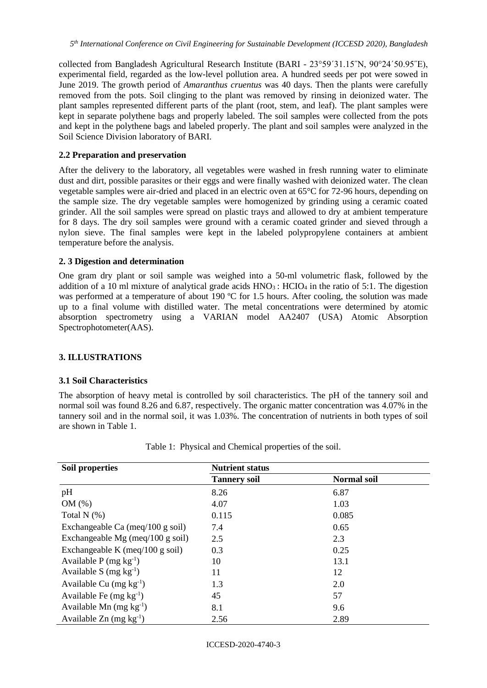collected from Bangladesh Agricultural Research Institute (BARI - 23°59΄31.15˝N, 90°24΄50.95˝E), experimental field, regarded as the low-level pollution area. A hundred seeds per pot were sowed in June 2019. The growth period of *Amaranthus cruentus* was 40 days. Then the plants were carefully removed from the pots. Soil clinging to the plant was removed by rinsing in deionized water. The plant samples represented different parts of the plant (root, stem, and leaf). The plant samples were kept in separate polythene bags and properly labeled. The soil samples were collected from the pots and kept in the polythene bags and labeled properly. The plant and soil samples were analyzed in the Soil Science Division laboratory of BARI.

### **2.2 Preparation and preservation**

After the delivery to the laboratory, all vegetables were washed in fresh running water to eliminate dust and dirt, possible parasites or their eggs and were finally washed with deionized water. The clean vegetable samples were air-dried and placed in an electric oven at 65°C for 72-96 hours, depending on the sample size. The dry vegetable samples were homogenized by grinding using a ceramic coated grinder. All the soil samples were spread on plastic trays and allowed to dry at ambient temperature for 8 days. The dry soil samples were ground with a ceramic coated grinder and sieved through a nylon sieve. The final samples were kept in the labeled polypropylene containers at ambient temperature before the analysis.

### **2. 3 Digestion and determination**

One gram dry plant or soil sample was weighed into a 50-ml volumetric flask, followed by the addition of a 10 ml mixture of analytical grade acids  $HNO<sub>3</sub>$ :  $HClO<sub>4</sub>$  in the ratio of 5:1. The digestion was performed at a temperature of about 190 °C for 1.5 hours. After cooling, the solution was made up to a final volume with distilled water. The metal concentrations were determined by atomic absorption spectrometry using a VARIAN model AA2407 (USA) Atomic Absorption Spectrophotometer(AAS).

### **3. ILLUSTRATIONS**

### **3.1 Soil Characteristics**

The absorption of heavy metal is controlled by soil characteristics. The pH of the tannery soil and normal soil was found 8.26 and 6.87, respectively. The organic matter concentration was 4.07% in the tannery soil and in the normal soil, it was 1.03%. The concentration of nutrients in both types of soil are shown in Table 1.

| Soil properties                       | <b>Nutrient status</b> |                    |  |  |  |
|---------------------------------------|------------------------|--------------------|--|--|--|
|                                       | <b>Tannery soil</b>    | <b>Normal soil</b> |  |  |  |
| pH                                    | 8.26                   | 6.87               |  |  |  |
| OM(%)                                 | 4.07                   | 1.03               |  |  |  |
| Total $N$ $(\%)$                      | 0.115                  | 0.085              |  |  |  |
| Exchangeable Ca (meq/100 g soil)      | 7.4                    | 0.65               |  |  |  |
| Exchangeable Mg (meq/100 g soil)      | 2.5                    | 2.3                |  |  |  |
| Exchangeable K (meq/100 g soil)       | 0.3                    | 0.25               |  |  |  |
| Available P (mg $kg^{-1}$ )           | 10                     | 13.1               |  |  |  |
| Available S (mg $kg^{-1}$ )           | 11                     | 12                 |  |  |  |
| Available Cu $(mg kg^{-1})$           | 1.3                    | 2.0                |  |  |  |
| Available Fe $(mg kg-1)$              | 45                     | 57                 |  |  |  |
| Available Mn $(mg kg-1)$              | 8.1                    | 9.6                |  |  |  |
| Available $Zn$ (mg kg <sup>-1</sup> ) | 2.56                   | 2.89               |  |  |  |

| Table 1: Physical and Chemical properties of the soil. |  |  |  |  |  |
|--------------------------------------------------------|--|--|--|--|--|
|--------------------------------------------------------|--|--|--|--|--|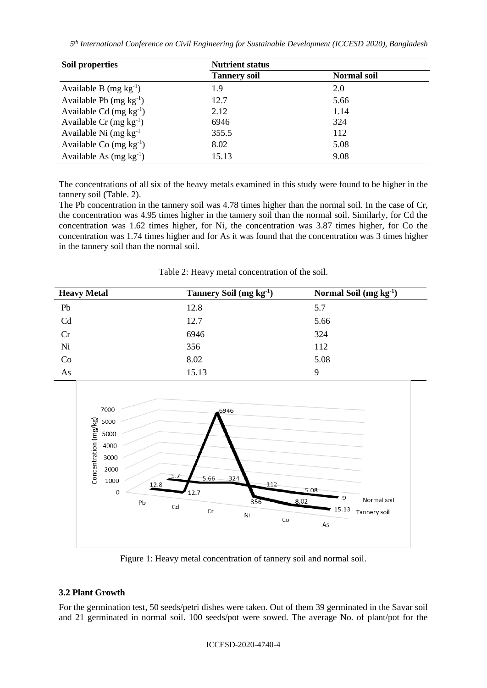*5 th International Conference on Civil Engineering for Sustainable Development (ICCESD 2020), Bangladesh*

| Soil properties             | <b>Nutrient status</b> |                    |  |  |  |
|-----------------------------|------------------------|--------------------|--|--|--|
|                             | <b>Tannery soil</b>    | <b>Normal soil</b> |  |  |  |
| Available B $(mg kg^{-1})$  | 1.9                    | 2.0                |  |  |  |
| Available Pb $(mg kg^{-1})$ | 12.7                   | 5.66               |  |  |  |
| Available Cd $(mg kg^{-1})$ | 2.12                   | 1.14               |  |  |  |
| Available Cr $(mg kg^{-1})$ | 6946                   | 324                |  |  |  |
| Available Ni $(mg kg-1)$    | 355.5                  | 112                |  |  |  |
| Available Co $(mg kg^{-1})$ | 8.02                   | 5.08               |  |  |  |
| Available As $(mg kg^{-1})$ | 15.13                  | 9.08               |  |  |  |

The concentrations of all six of the heavy metals examined in this study were found to be higher in the tannery soil (Table. 2).

The Pb concentration in the tannery soil was 4.78 times higher than the normal soil. In the case of Cr, the concentration was 4.95 times higher in the tannery soil than the normal soil. Similarly, for Cd the concentration was 1.62 times higher, for Ni, the concentration was 3.87 times higher, for Co the concentration was 1.74 times higher and for As it was found that the concentration was 3 times higher in the tannery soil than the normal soil.

Table 2: Heavy metal concentration of the soil.

| <b>Heavy Metal</b> | Tannery Soil $(mg kg-1)$ | Normal Soil $(mg kg-1)$ |
|--------------------|--------------------------|-------------------------|
| Pb                 | 12.8                     | 5.7                     |
| Cd                 | 12.7                     | 5.66                    |
| Cr                 | 6946                     | 324                     |
| Ni                 | 356                      | 112                     |
| Co                 | 8.02                     | 5.08                    |
| As                 | 15.13                    | 9                       |



Figure 1: Heavy metal concentration of tannery soil and normal soil.

## **3.2 Plant Growth**

For the germination test, 50 seeds/petri dishes were taken. Out of them 39 germinated in the Savar soil and 21 germinated in normal soil. 100 seeds/pot were sowed. The average No. of plant/pot for the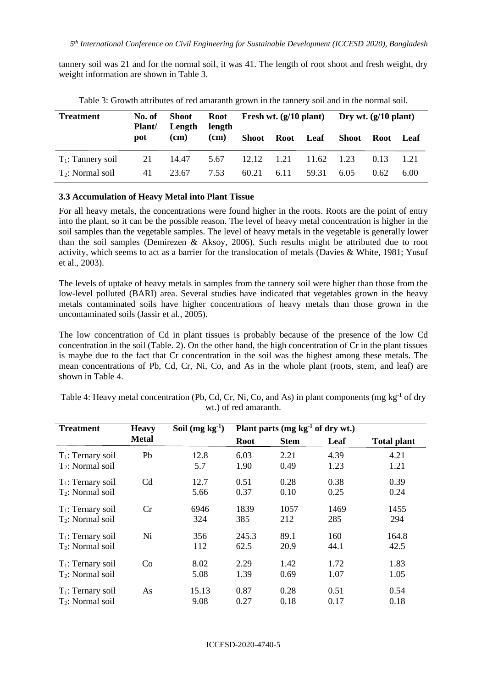tannery soil was 21 and for the normal soil, it was 41. The length of root shoot and fresh weight, dry weight information are shown in Table 3.

| <b>Treatment</b>     | No. of<br><b>Plant</b> | Shoot<br>Length | length | Root Fresh wt. $(g/10 \text{ plant})$ |      |                 | Dry wt. $(g/10$ plant) |      |      |
|----------------------|------------------------|-----------------|--------|---------------------------------------|------|-----------------|------------------------|------|------|
|                      | pot                    | (cm)            | (cm)   |                                       |      | Shoot Root Leaf | Shoot Root Leaf        |      |      |
| $T_1$ : Tannery soil | 21                     | 14.47           | 5.67   | 12.12                                 | 1.21 | 11.62           | 1.23                   | 0.13 | 1.21 |
| $T_2$ : Normal soil  | 41                     | 23.67           | 7.53   | 60.21                                 | 6.11 | 59.31           | 6.05                   | 0.62 | 6.00 |

Table 3: Growth attributes of red amaranth grown in the tannery soil and in the normal soil.

#### **3.3 Accumulation of Heavy Metal into Plant Tissue**

For all heavy metals, the concentrations were found higher in the roots. Roots are the point of entry into the plant, so it can be the possible reason. The level of heavy metal concentration is higher in the soil samples than the vegetable samples. The level of heavy metals in the vegetable is generally lower than the soil samples (Demirezen & Aksoy, 2006). Such results might be attributed due to root activity, which seems to act as a barrier for the translocation of metals (Davies & White, 1981; Yusuf et al., 2003).

The levels of uptake of heavy metals in samples from the tannery soil were higher than those from the low-level polluted (BARI) area. Several studies have indicated that vegetables grown in the heavy metals contaminated soils have higher concentrations of heavy metals than those grown in the uncontaminated soils (Jassir et al*.,* 2005).

The low concentration of Cd in plant tissues is probably because of the presence of the low Cd concentration in the soil (Table. 2). On the other hand, the high concentration of Cr in the plant tissues is maybe due to the fact that Cr concentration in the soil was the highest among these metals. The mean concentrations of Pb, Cd, Cr, Ni, Co, and As in the whole plant (roots, stem, and leaf) are shown in Table 4.

Table 4: Heavy metal concentration (Pb, Cd, Cr, Ni, Co, and As) in plant components (mg kg<sup>-1</sup> of dry wt.) of red amaranth.

| <b>Treatment</b>             | <b>Heavy</b>   | Soil $(mg kg-1)$ | Plant parts $(mg kg-1 of dry wt.)$ |             |      |                    |
|------------------------------|----------------|------------------|------------------------------------|-------------|------|--------------------|
|                              | <b>Metal</b>   |                  | <b>Root</b>                        | <b>Stem</b> | Leaf | <b>Total plant</b> |
| $T_1$ : Ternary soil         | Pb             | 12.8             | 6.03                               | 2.21        | 4.39 | 4.21               |
| T <sub>2</sub> : Normal soil |                | 5.7              | 1.90                               | 0.49        | 1.23 | 1.21               |
| $T_1$ : Ternary soil         | C <sub>d</sub> | 12.7             | 0.51                               | 0.28        | 0.38 | 0.39               |
| $T_2$ : Normal soil          |                | 5.66             | 0.37                               | 0.10        | 0.25 | 0.24               |
| $T_1$ : Ternary soil         | Cr             | 6946             | 1839                               | 1057        | 1469 | 1455               |
| $T_2$ : Normal soil          |                | 324              | 385                                | 212         | 285  | 294                |
| $T_1$ : Ternary soil         | Ni             | 356              | 245.3                              | 89.1        | 160  | 164.8              |
| $T_2$ : Normal soil          |                | 112              | 62.5                               | 20.9        | 44.1 | 42.5               |
| $T_1$ : Ternary soil         | Co             | 8.02             | 2.29                               | 1.42        | 1.72 | 1.83               |
| $T_2$ : Normal soil          |                | 5.08             | 1.39                               | 0.69        | 1.07 | 1.05               |
| $T_1$ : Ternary soil         | As             | 15.13            | 0.87                               | 0.28        | 0.51 | 0.54               |
| T <sub>2</sub> : Normal soil |                | 9.08             | 0.27                               | 0.18        | 0.17 | 0.18               |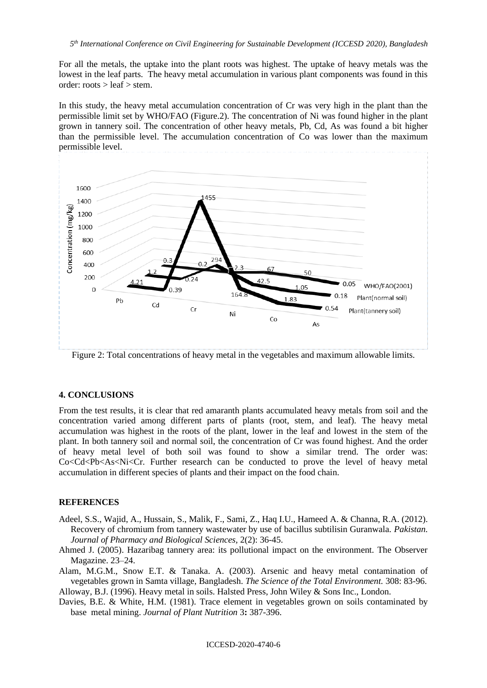For all the metals, the uptake into the plant roots was highest. The uptake of heavy metals was the lowest in the leaf parts. The heavy metal accumulation in various plant components was found in this order:  $roots > leaf > stem$ .

In this study, the heavy metal accumulation concentration of Cr was very high in the plant than the permissible limit set by WHO/FAO (Figure.2). The concentration of Ni was found higher in the plant grown in tannery soil. The concentration of other heavy metals, Pb, Cd, As was found a bit higher than the permissible level. The accumulation concentration of Co was lower than the maximum permissible level.



Figure 2: Total concentrations of heavy metal in the vegetables and maximum allowable limits.

#### **4. CONCLUSIONS**

From the test results, it is clear that red amaranth plants accumulated heavy metals from soil and the concentration varied among different parts of plants (root, stem, and leaf). The heavy metal accumulation was highest in the roots of the plant, lower in the leaf and lowest in the stem of the plant. In both tannery soil and normal soil, the concentration of Cr was found highest. And the order of heavy metal level of both soil was found to show a similar trend. The order was: Co<Cd<Pb<As<Ni<Cr. Further research can be conducted to prove the level of heavy metal accumulation in different species of plants and their impact on the food chain.

#### **REFERENCES**

- Adeel, S.S., Wajid, A., Hussain, S., Malik, F., Sami, Z., Haq I.U., Hameed A. & Channa, R.A. (2012). Recovery of chromium from tannery wastewater by use of bacillus subtilisin Guranwala. *Pakistan. Journal of Pharmacy and Biological Sciences,* 2(2): 36-45.
- Ahmed J. (2005). Hazaribag tannery area: its pollutional impact on the environment. The Observer Magazine. 23–24.

Alam, M.G.M., Snow E.T. & Tanaka. A. (2003). Arsenic and heavy metal contamination of vegetables grown in Samta village, Bangladesh. *The Science of the Total Environment.* 308: 83-96. Alloway, B.J. (1996). Heavy metal in soils. Halsted Press, John Wiley & Sons Inc., London.

Davies, B.E. & White, H.M. (1981). Trace element in vegetables grown on soils contaminated by base metal mining. *Journal of Plant Nutrition* 3**:** 387-396.